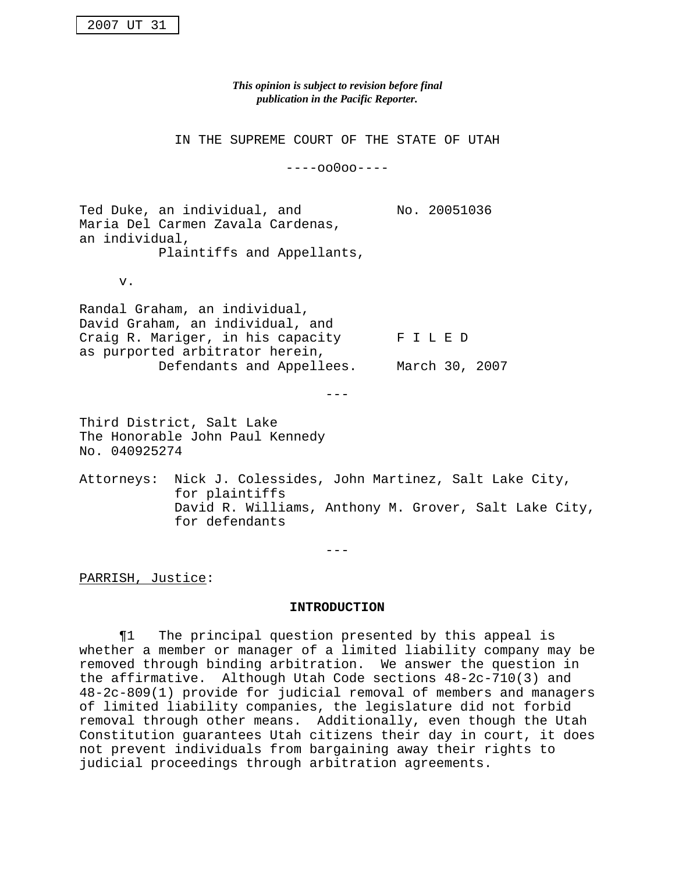*This opinion is subject to revision before final publication in the Pacific Reporter.*

IN THE SUPREME COURT OF THE STATE OF UTAH

----oo0oo----

Ted Duke, an individual, and Mo. 20051036 Maria Del Carmen Zavala Cardenas, an individual,

Plaintiffs and Appellants,

v.

Randal Graham, an individual, David Graham, an individual, and Craig R. Mariger, in his capacity F I L E D as purported arbitrator herein, Defendants and Appellees. March 30, 2007

---

Third District, Salt Lake The Honorable John Paul Kennedy No. 040925274

Attorneys: Nick J. Colessides, John Martinez, Salt Lake City, for plaintiffs David R. Williams, Anthony M. Grover, Salt Lake City, for defendants

 $-$ 

PARRISH, Justice:

#### **INTRODUCTION**

¶1 The principal question presented by this appeal is whether a member or manager of a limited liability company may be removed through binding arbitration. We answer the question in the affirmative. Although Utah Code sections 48-2c-710(3) and 48-2c-809(1) provide for judicial removal of members and managers of limited liability companies, the legislature did not forbid removal through other means. Additionally, even though the Utah Constitution guarantees Utah citizens their day in court, it does not prevent individuals from bargaining away their rights to judicial proceedings through arbitration agreements.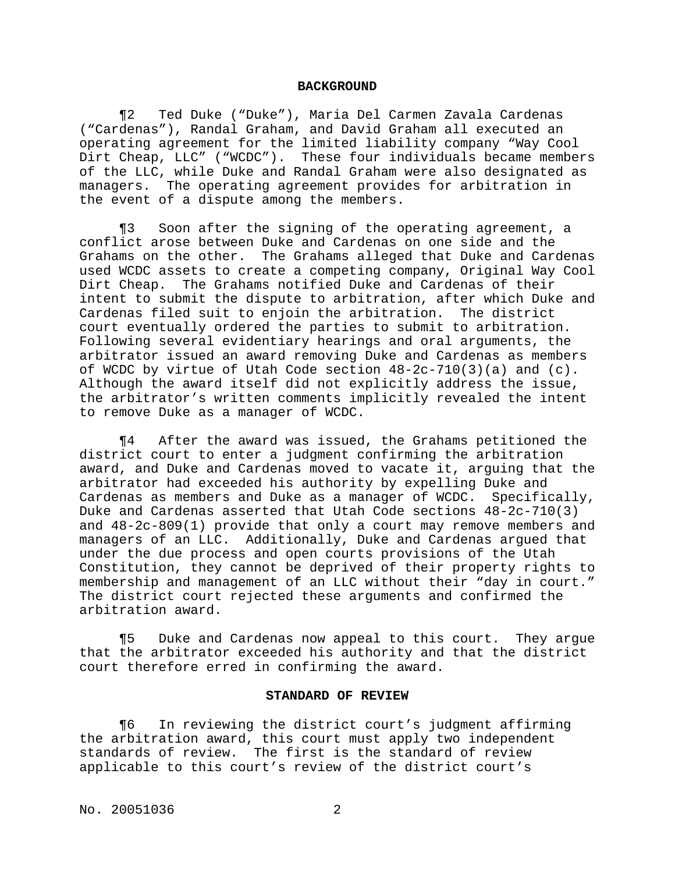#### **BACKGROUND**

¶2 Ted Duke ("Duke"), Maria Del Carmen Zavala Cardenas ("Cardenas"), Randal Graham, and David Graham all executed an operating agreement for the limited liability company "Way Cool Dirt Cheap, LLC" ("WCDC"). These four individuals became members of the LLC, while Duke and Randal Graham were also designated as managers. The operating agreement provides for arbitration in the event of a dispute among the members.

¶3 Soon after the signing of the operating agreement, a conflict arose between Duke and Cardenas on one side and the Grahams on the other. The Grahams alleged that Duke and Cardenas used WCDC assets to create a competing company, Original Way Cool Dirt Cheap. The Grahams notified Duke and Cardenas of their intent to submit the dispute to arbitration, after which Duke and Cardenas filed suit to enjoin the arbitration. The district court eventually ordered the parties to submit to arbitration. Following several evidentiary hearings and oral arguments, the arbitrator issued an award removing Duke and Cardenas as members of WCDC by virtue of Utah Code section  $48-2c-710(3)(a)$  and  $(c)$ . Although the award itself did not explicitly address the issue, the arbitrator's written comments implicitly revealed the intent to remove Duke as a manager of WCDC.

¶4 After the award was issued, the Grahams petitioned the district court to enter a judgment confirming the arbitration award, and Duke and Cardenas moved to vacate it, arguing that the arbitrator had exceeded his authority by expelling Duke and Cardenas as members and Duke as a manager of WCDC. Specifically, Duke and Cardenas asserted that Utah Code sections 48-2c-710(3) and 48-2c-809(1) provide that only a court may remove members and managers of an LLC. Additionally, Duke and Cardenas argued that under the due process and open courts provisions of the Utah Constitution, they cannot be deprived of their property rights to membership and management of an LLC without their "day in court." The district court rejected these arguments and confirmed the arbitration award.

¶5 Duke and Cardenas now appeal to this court. They argue that the arbitrator exceeded his authority and that the district court therefore erred in confirming the award.

#### **STANDARD OF REVIEW**

¶6 In reviewing the district court's judgment affirming the arbitration award, this court must apply two independent standards of review. The first is the standard of review applicable to this court's review of the district court's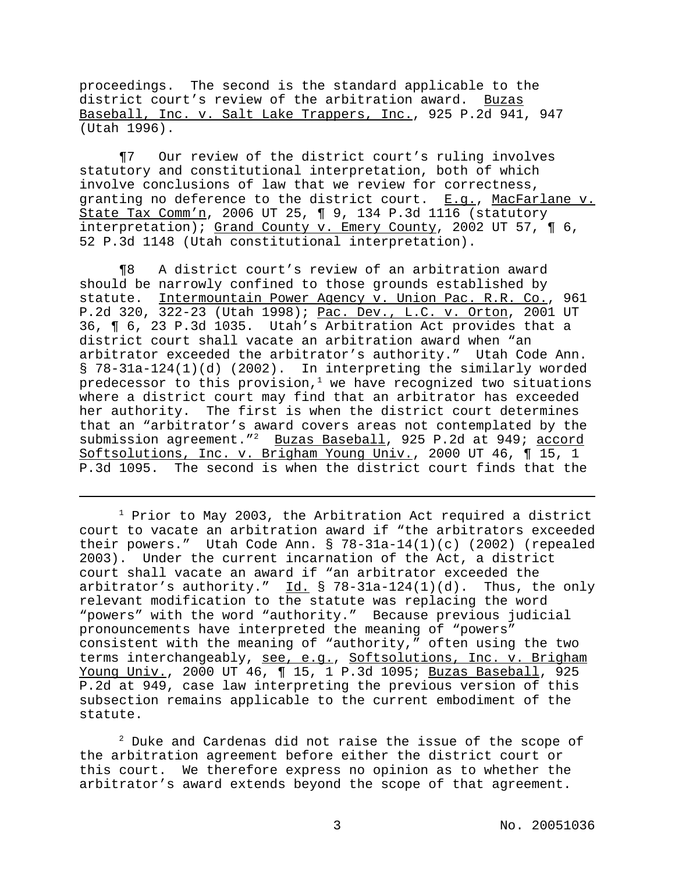proceedings. The second is the standard applicable to the district court's review of the arbitration award. Buzas Baseball, Inc. v. Salt Lake Trappers, Inc., 925 P.2d 941, 947 (Utah 1996).

¶7 Our review of the district court's ruling involves statutory and constitutional interpretation, both of which involve conclusions of law that we review for correctness, granting no deference to the district court. E.q., MacFarlane v. State Tax Comm'n, 2006 UT 25,  $\P$  9, 134 P.3d 1116 (statutory interpretation); Grand County v. Emery County, 2002 UT 57, ¶ 6, 52 P.3d 1148 (Utah constitutional interpretation).

¶8 A district court's review of an arbitration award should be narrowly confined to those grounds established by statute. Intermountain Power Agency v. Union Pac. R.R. Co., 961 P.2d 320, 322-23 (Utah 1998); Pac. Dev., L.C. v. Orton, 2001 UT 36, ¶ 6, 23 P.3d 1035. Utah's Arbitration Act provides that a district court shall vacate an arbitration award when "an arbitrator exceeded the arbitrator's authority." Utah Code Ann. § 78-31a-124(1)(d) (2002). In interpreting the similarly worded predecessor to this provision, $1$  we have recognized two situations where a district court may find that an arbitrator has exceeded her authority. The first is when the district court determines that an "arbitrator's award covers areas not contemplated by the submission agreement."<sup>2</sup> Buzas Baseball, 925 P.2d at 949; accord Softsolutions, Inc. v. Brigham Young Univ., 2000 UT 46, ¶ 15, 1 P.3d 1095. The second is when the district court finds that the

 $1$  Prior to May 2003, the Arbitration Act required a district court to vacate an arbitration award if "the arbitrators exceeded their powers." Utah Code Ann. §  $78-31a-14(1)(c)$  (2002) (repealed 2003). Under the current incarnation of the Act, a district court shall vacate an award if "an arbitrator exceeded the arbitrator's authority."  $Id. \S$  78-31a-124(1)(d). Thus, the only relevant modification to the statute was replacing the word "powers" with the word "authority." Because previous judicial pronouncements have interpreted the meaning of "powers" consistent with the meaning of "authority," often using the two terms interchangeably, see, e.g., Softsolutions, Inc. v. Brigham Young Univ., 2000 UT 46, ¶ 15, 1 P.3d 1095; Buzas Baseball, 925 P.2d at 949, case law interpreting the previous version of this subsection remains applicable to the current embodiment of the statute.

 $2^2$  Duke and Cardenas did not raise the issue of the scope of the arbitration agreement before either the district court or this court. We therefore express no opinion as to whether the arbitrator's award extends beyond the scope of that agreement.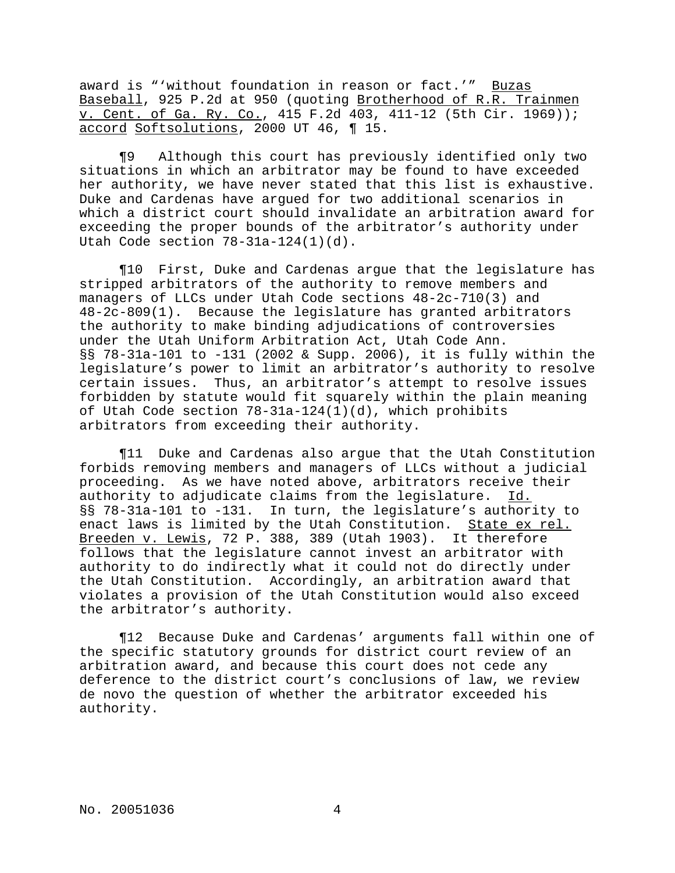award is "'without foundation in reason or fact.'" Buzas Baseball, 925 P.2d at 950 (quoting Brotherhood of R.R. Trainmen v. Cent. of Ga. Ry. Co., 415 F.2d 403, 411-12 (5th Cir. 1969)); accord Softsolutions, 2000 UT 46, ¶ 15.

¶9 Although this court has previously identified only two situations in which an arbitrator may be found to have exceeded her authority, we have never stated that this list is exhaustive. Duke and Cardenas have argued for two additional scenarios in which a district court should invalidate an arbitration award for exceeding the proper bounds of the arbitrator's authority under Utah Code section 78-31a-124(1)(d).

¶10 First, Duke and Cardenas argue that the legislature has stripped arbitrators of the authority to remove members and managers of LLCs under Utah Code sections 48-2c-710(3) and 48-2c-809(1). Because the legislature has granted arbitrators the authority to make binding adjudications of controversies under the Utah Uniform Arbitration Act, Utah Code Ann. §§ 78-31a-101 to -131 (2002 & Supp. 2006), it is fully within the legislature's power to limit an arbitrator's authority to resolve certain issues. Thus, an arbitrator's attempt to resolve issues forbidden by statute would fit squarely within the plain meaning of Utah Code section 78-31a-124(1)(d), which prohibits arbitrators from exceeding their authority.

¶11 Duke and Cardenas also argue that the Utah Constitution forbids removing members and managers of LLCs without a judicial proceeding. As we have noted above, arbitrators receive their authority to adjudicate claims from the legislature. Id. §§ 78-31a-101 to -131. In turn, the legislature's authority to enact laws is limited by the Utah Constitution. State ex rel. Breeden v. Lewis, 72 P. 388, 389 (Utah 1903). It therefore follows that the legislature cannot invest an arbitrator with authority to do indirectly what it could not do directly under the Utah Constitution. Accordingly, an arbitration award that violates a provision of the Utah Constitution would also exceed the arbitrator's authority.

¶12 Because Duke and Cardenas' arguments fall within one of the specific statutory grounds for district court review of an arbitration award, and because this court does not cede any deference to the district court's conclusions of law, we review de novo the question of whether the arbitrator exceeded his authority.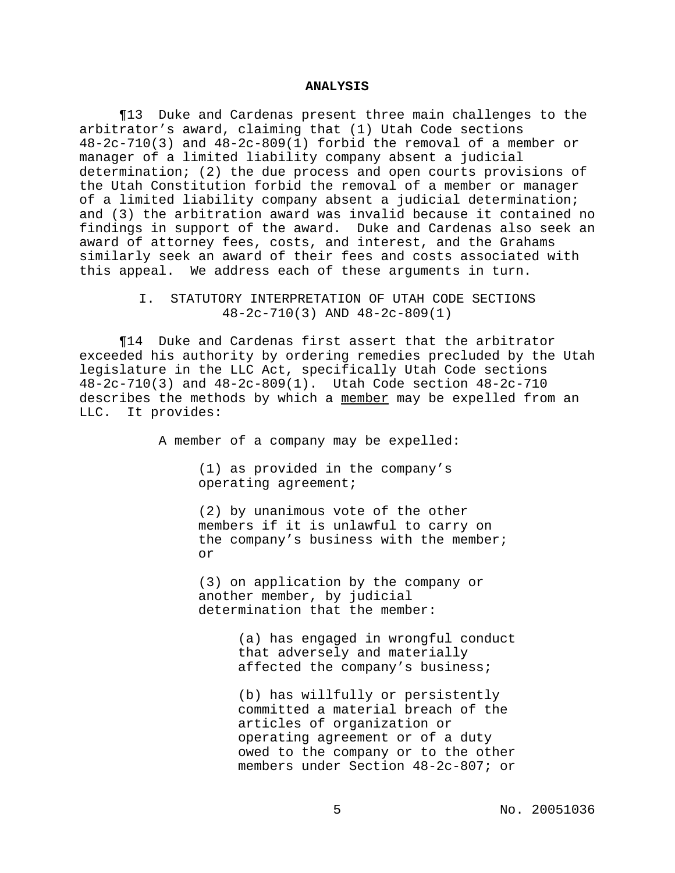### **ANALYSIS**

¶13 Duke and Cardenas present three main challenges to the arbitrator's award, claiming that (1) Utah Code sections 48-2c-710(3) and 48-2c-809(1) forbid the removal of a member or manager of a limited liability company absent a judicial determination; (2) the due process and open courts provisions of the Utah Constitution forbid the removal of a member or manager of a limited liability company absent a judicial determination; and (3) the arbitration award was invalid because it contained no findings in support of the award. Duke and Cardenas also seek an award of attorney fees, costs, and interest, and the Grahams similarly seek an award of their fees and costs associated with this appeal. We address each of these arguments in turn.

## I. STATUTORY INTERPRETATION OF UTAH CODE SECTIONS 48-2c-710(3) AND 48-2c-809(1)

¶14 Duke and Cardenas first assert that the arbitrator exceeded his authority by ordering remedies precluded by the Utah legislature in the LLC Act, specifically Utah Code sections 48-2c-710(3) and 48-2c-809(1). Utah Code section 48-2c-710 describes the methods by which a member may be expelled from an LLC. It provides:

A member of a company may be expelled:

(1) as provided in the company's operating agreement;

(2) by unanimous vote of the other members if it is unlawful to carry on the company's business with the member; or

(3) on application by the company or another member, by judicial determination that the member:

> (a) has engaged in wrongful conduct that adversely and materially affected the company's business;

> (b) has willfully or persistently committed a material breach of the articles of organization or operating agreement or of a duty owed to the company or to the other members under Section 48-2c-807; or

> > 5 No. 20051036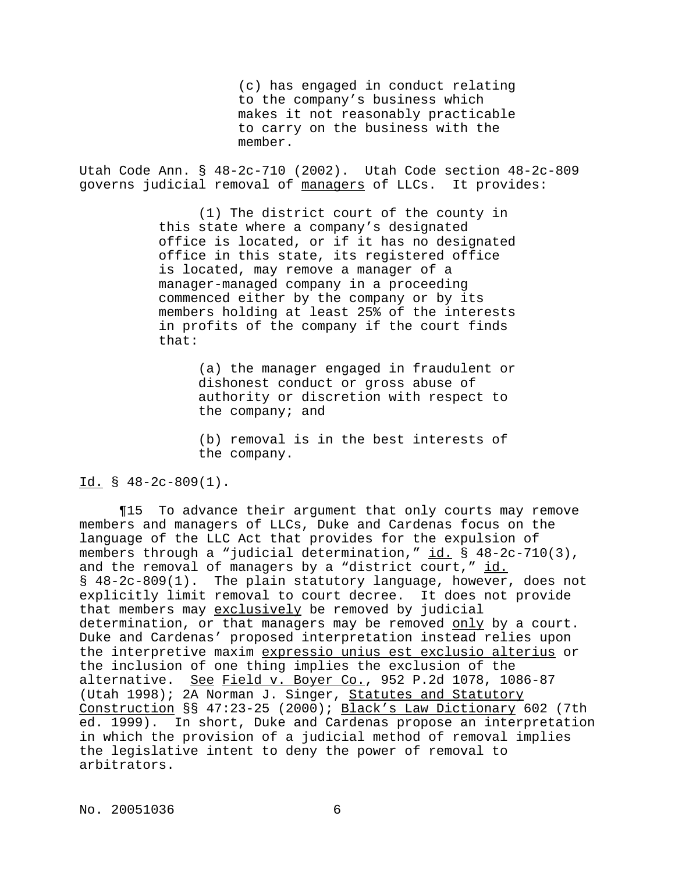(c) has engaged in conduct relating to the company's business which makes it not reasonably practicable to carry on the business with the member.

Utah Code Ann. § 48-2c-710 (2002). Utah Code section 48-2c-809 governs judicial removal of managers of LLCs. It provides:

> (1) The district court of the county in this state where a company's designated office is located, or if it has no designated office in this state, its registered office is located, may remove a manager of a manager-managed company in a proceeding commenced either by the company or by its members holding at least 25% of the interests in profits of the company if the court finds that:

> > (a) the manager engaged in fraudulent or dishonest conduct or gross abuse of authority or discretion with respect to the company; and

(b) removal is in the best interests of the company.

### Id. § 48-2c-809(1).

¶15 To advance their argument that only courts may remove members and managers of LLCs, Duke and Cardenas focus on the language of the LLC Act that provides for the expulsion of members through a "judicial determination," id. § 48-2c-710(3), and the removal of managers by a "district court," id. § 48-2c-809(1). The plain statutory language, however, does not explicitly limit removal to court decree. It does not provide that members may exclusively be removed by judicial determination, or that managers may be removed only by a court. Duke and Cardenas' proposed interpretation instead relies upon the interpretive maxim expressio unius est exclusio alterius or the inclusion of one thing implies the exclusion of the alternative. See Field v. Boyer Co., 952 P.2d 1078, 1086-87 (Utah 1998); 2A Norman J. Singer, Statutes and Statutory Construction §§ 47:23-25 (2000); Black's Law Dictionary 602 (7th ed. 1999). In short, Duke and Cardenas propose an interpretation in which the provision of a judicial method of removal implies the legislative intent to deny the power of removal to arbitrators.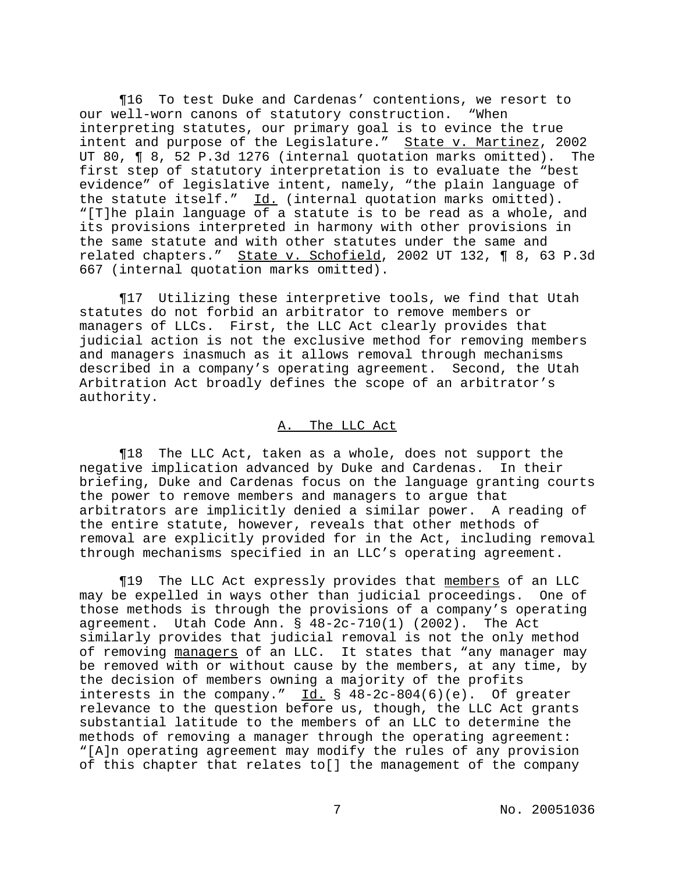¶16 To test Duke and Cardenas' contentions, we resort to our well-worn canons of statutory construction. "When interpreting statutes, our primary goal is to evince the true intent and purpose of the Legislature." State v. Martinez, 2002 UT 80, ¶ 8, 52 P.3d 1276 (internal quotation marks omitted). The first step of statutory interpretation is to evaluate the "best evidence" of legislative intent, namely, "the plain language of the statute itself."  $\underline{Id.}$  (internal quotation marks omitted). "[T]he plain language of a statute is to be read as a whole, and its provisions interpreted in harmony with other provisions in the same statute and with other statutes under the same and related chapters." State v. Schofield, 2002 UT 132, ¶ 8, 63 P.3d 667 (internal quotation marks omitted).

¶17 Utilizing these interpretive tools, we find that Utah statutes do not forbid an arbitrator to remove members or managers of LLCs. First, the LLC Act clearly provides that judicial action is not the exclusive method for removing members and managers inasmuch as it allows removal through mechanisms described in a company's operating agreement. Second, the Utah Arbitration Act broadly defines the scope of an arbitrator's authority.

# A. The LLC Act

¶18 The LLC Act, taken as a whole, does not support the negative implication advanced by Duke and Cardenas. In their briefing, Duke and Cardenas focus on the language granting courts the power to remove members and managers to argue that arbitrators are implicitly denied a similar power. A reading of the entire statute, however, reveals that other methods of removal are explicitly provided for in the Act, including removal through mechanisms specified in an LLC's operating agreement.

¶19 The LLC Act expressly provides that members of an LLC may be expelled in ways other than judicial proceedings. One of those methods is through the provisions of a company's operating agreement. Utah Code Ann.  $\S$  48-2c-710(1) (2002). The Act similarly provides that judicial removal is not the only method of removing managers of an LLC. It states that "any manager may be removed with or without cause by the members, at any time, by the decision of members owning a majority of the profits interests in the company." Id.  $\S$  48-2c-804(6)(e). Of greater relevance to the question before us, though, the LLC Act grants substantial latitude to the members of an LLC to determine the methods of removing a manager through the operating agreement: "[A]n operating agreement may modify the rules of any provision of this chapter that relates to[] the management of the company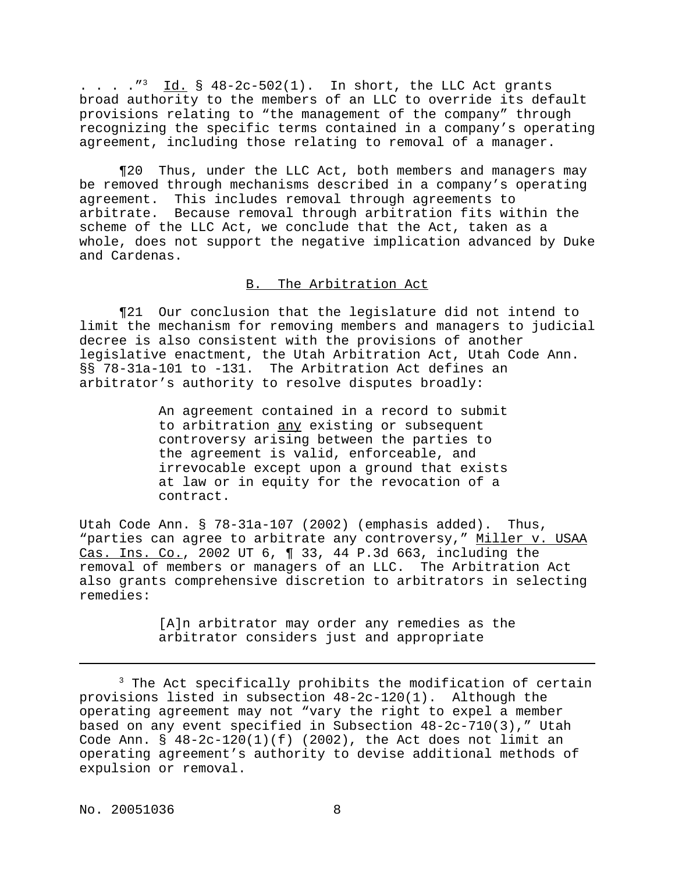. . . .  $\frac{1}{3}$  Id. § 48-2c-502(1). In short, the LLC Act grants broad authority to the members of an LLC to override its default provisions relating to "the management of the company" through recognizing the specific terms contained in a company's operating agreement, including those relating to removal of a manager.

¶20 Thus, under the LLC Act, both members and managers may be removed through mechanisms described in a company's operating agreement. This includes removal through agreements to arbitrate. Because removal through arbitration fits within the scheme of the LLC Act, we conclude that the Act, taken as a whole, does not support the negative implication advanced by Duke and Cardenas.

# B. The Arbitration Act

¶21 Our conclusion that the legislature did not intend to limit the mechanism for removing members and managers to judicial decree is also consistent with the provisions of another legislative enactment, the Utah Arbitration Act, Utah Code Ann. §§ 78-31a-101 to -131. The Arbitration Act defines an arbitrator's authority to resolve disputes broadly:

> An agreement contained in a record to submit to arbitration any existing or subsequent controversy arising between the parties to the agreement is valid, enforceable, and irrevocable except upon a ground that exists at law or in equity for the revocation of a contract.

Utah Code Ann. § 78-31a-107 (2002) (emphasis added). Thus, "parties can agree to arbitrate any controversy," Miller v. USAA Cas. Ins. Co., 2002 UT 6, ¶ 33, 44 P.3d 663, including the removal of members or managers of an LLC. The Arbitration Act also grants comprehensive discretion to arbitrators in selecting remedies:

> [A]n arbitrator may order any remedies as the arbitrator considers just and appropriate

<sup>&</sup>lt;sup>3</sup> The Act specifically prohibits the modification of certain provisions listed in subsection 48-2c-120(1). Although the operating agreement may not "vary the right to expel a member based on any event specified in Subsection 48-2c-710(3)," Utah Code Ann.  $\S$  48-2c-120(1)(f) (2002), the Act does not limit an operating agreement's authority to devise additional methods of expulsion or removal.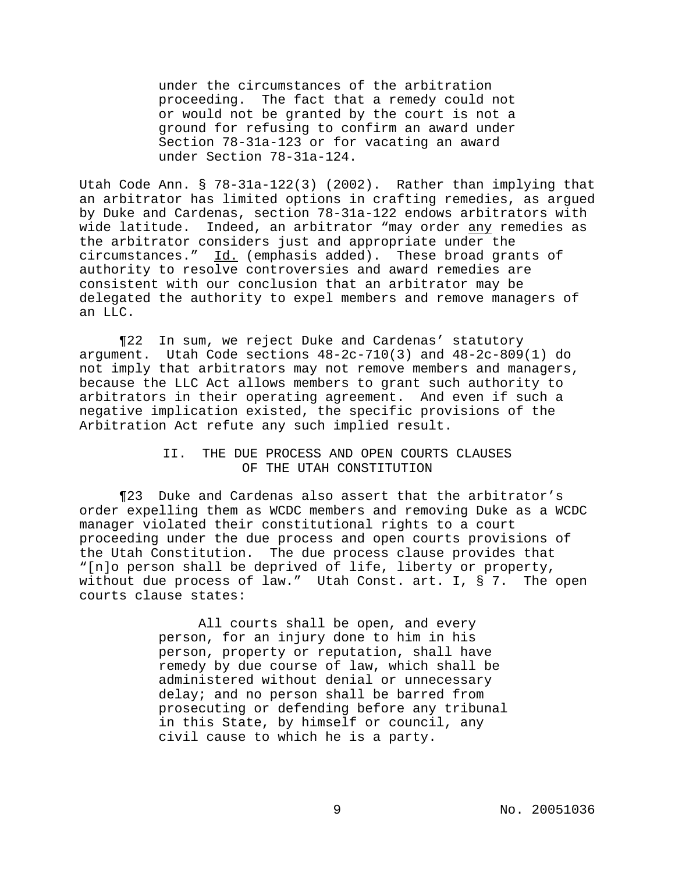under the circumstances of the arbitration proceeding. The fact that a remedy could not or would not be granted by the court is not a ground for refusing to confirm an award under Section 78-31a-123 or for vacating an award under Section 78-31a-124.

Utah Code Ann. § 78-31a-122(3) (2002). Rather than implying that an arbitrator has limited options in crafting remedies, as argued by Duke and Cardenas, section 78-31a-122 endows arbitrators with wide latitude. Indeed, an arbitrator "may order any remedies as the arbitrator considers just and appropriate under the circumstances." Id. (emphasis added). These broad grants of authority to resolve controversies and award remedies are consistent with our conclusion that an arbitrator may be delegated the authority to expel members and remove managers of an LLC.

¶22 In sum, we reject Duke and Cardenas' statutory argument. Utah Code sections 48-2c-710(3) and 48-2c-809(1) do not imply that arbitrators may not remove members and managers, because the LLC Act allows members to grant such authority to arbitrators in their operating agreement. And even if such a negative implication existed, the specific provisions of the Arbitration Act refute any such implied result.

## II. THE DUE PROCESS AND OPEN COURTS CLAUSES OF THE UTAH CONSTITUTION

¶23 Duke and Cardenas also assert that the arbitrator's order expelling them as WCDC members and removing Duke as a WCDC manager violated their constitutional rights to a court proceeding under the due process and open courts provisions of the Utah Constitution. The due process clause provides that "[n]o person shall be deprived of life, liberty or property, without due process of law." Utah Const. art. I, § 7. The open courts clause states:

> All courts shall be open, and every person, for an injury done to him in his person, property or reputation, shall have remedy by due course of law, which shall be administered without denial or unnecessary delay; and no person shall be barred from prosecuting or defending before any tribunal in this State, by himself or council, any civil cause to which he is a party.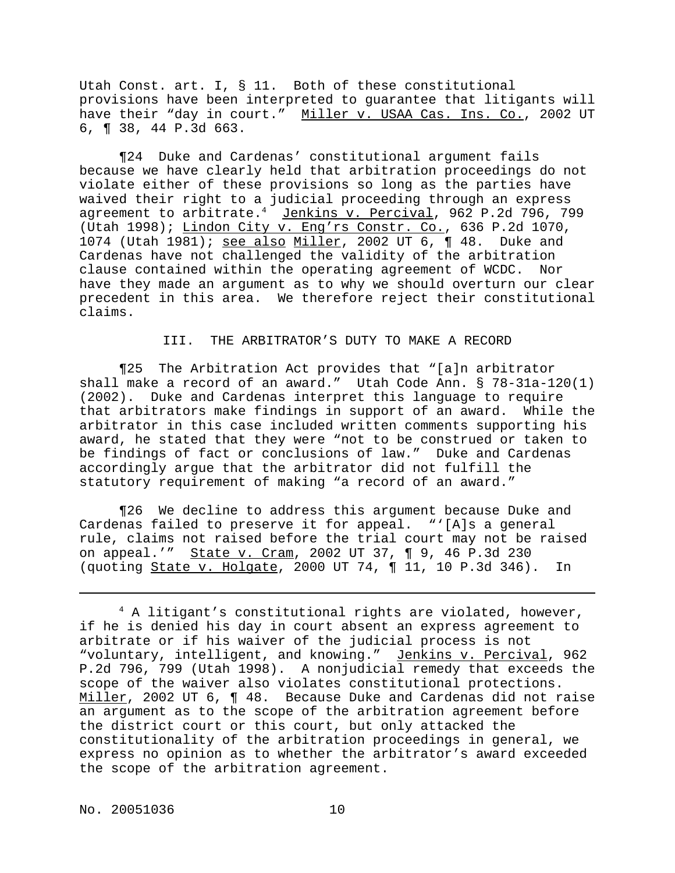Utah Const. art. I, § 11. Both of these constitutional provisions have been interpreted to guarantee that litigants will have their "day in court." Miller v. USAA Cas. Ins. Co., 2002 UT 6, ¶ 38, 44 P.3d 663.

¶24 Duke and Cardenas' constitutional argument fails because we have clearly held that arbitration proceedings do not violate either of these provisions so long as the parties have waived their right to a judicial proceeding through an express agreement to arbitrate.<sup>4</sup> Jenkins v. Percival, 962 P.2d 796, 799 (Utah 1998); Lindon City v. Eng'rs Constr. Co., 636 P.2d 1070, 1074 (Utah 1981); see also Miller, 2002 UT 6, ¶ 48. Duke and Cardenas have not challenged the validity of the arbitration clause contained within the operating agreement of WCDC. Nor have they made an argument as to why we should overturn our clear precedent in this area. We therefore reject their constitutional claims.

### III. THE ARBITRATOR'S DUTY TO MAKE A RECORD

¶25 The Arbitration Act provides that "[a]n arbitrator shall make a record of an award." Utah Code Ann. § 78-31a-120(1) (2002). Duke and Cardenas interpret this language to require that arbitrators make findings in support of an award. While the arbitrator in this case included written comments supporting his award, he stated that they were "not to be construed or taken to be findings of fact or conclusions of law." Duke and Cardenas accordingly argue that the arbitrator did not fulfill the statutory requirement of making "a record of an award."

¶26 We decline to address this argument because Duke and Cardenas failed to preserve it for appeal. "'[A]s a general rule, claims not raised before the trial court may not be raised on appeal.'" State v. Cram, 2002 UT 37, ¶ 9, 46 P.3d 230 (quoting State v. Holgate, 2000 UT 74, ¶ 11, 10 P.3d 346). In

<sup>4</sup> A litigant's constitutional rights are violated, however, if he is denied his day in court absent an express agreement to arbitrate or if his waiver of the judicial process is not "voluntary, intelligent, and knowing." Jenkins v. Percival, 962 P.2d 796, 799 (Utah 1998). A nonjudicial remedy that exceeds the scope of the waiver also violates constitutional protections. Miller, 2002 UT 6, ¶ 48. Because Duke and Cardenas did not raise an argument as to the scope of the arbitration agreement before the district court or this court, but only attacked the constitutionality of the arbitration proceedings in general, we express no opinion as to whether the arbitrator's award exceeded the scope of the arbitration agreement.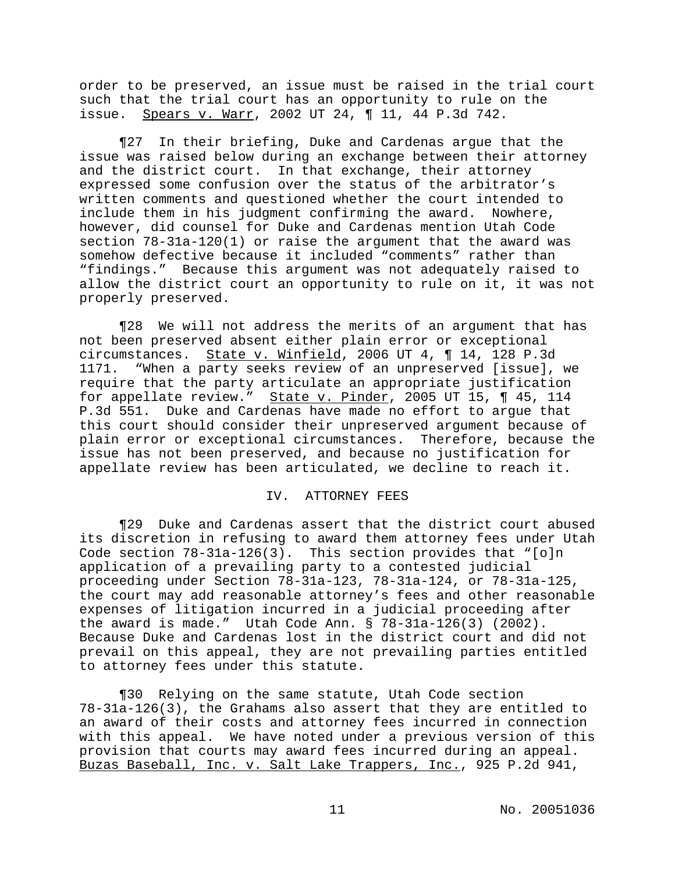order to be preserved, an issue must be raised in the trial court such that the trial court has an opportunity to rule on the issue. Spears v. Warr, 2002 UT 24, ¶ 11, 44 P.3d 742.

¶27 In their briefing, Duke and Cardenas argue that the issue was raised below during an exchange between their attorney and the district court. In that exchange, their attorney expressed some confusion over the status of the arbitrator's written comments and questioned whether the court intended to include them in his judgment confirming the award. Nowhere, however, did counsel for Duke and Cardenas mention Utah Code section 78-31a-120(1) or raise the argument that the award was somehow defective because it included "comments" rather than "findings." Because this argument was not adequately raised to allow the district court an opportunity to rule on it, it was not properly preserved.

¶28 We will not address the merits of an argument that has not been preserved absent either plain error or exceptional circumstances. State v. Winfield, 2006 UT 4, ¶ 14, 128 P.3d 1171. "When a party seeks review of an unpreserved [issue], we require that the party articulate an appropriate justification for appellate review." State v. Pinder, 2005 UT 15, ¶ 45, 114 P.3d 551. Duke and Cardenas have made no effort to argue that this court should consider their unpreserved argument because of plain error or exceptional circumstances. Therefore, because the issue has not been preserved, and because no justification for appellate review has been articulated, we decline to reach it.

### IV. ATTORNEY FEES

¶29 Duke and Cardenas assert that the district court abused its discretion in refusing to award them attorney fees under Utah Code section 78-31a-126(3). This section provides that "[o]n application of a prevailing party to a contested judicial proceeding under Section 78-31a-123, 78-31a-124, or 78-31a-125, the court may add reasonable attorney's fees and other reasonable expenses of litigation incurred in a judicial proceeding after the award is made." Utah Code Ann. § 78-31a-126(3) (2002). Because Duke and Cardenas lost in the district court and did not prevail on this appeal, they are not prevailing parties entitled to attorney fees under this statute.

¶30 Relying on the same statute, Utah Code section 78-31a-126(3), the Grahams also assert that they are entitled to an award of their costs and attorney fees incurred in connection with this appeal. We have noted under a previous version of this provision that courts may award fees incurred during an appeal. Buzas Baseball, Inc. v. Salt Lake Trappers, Inc., 925 P.2d 941,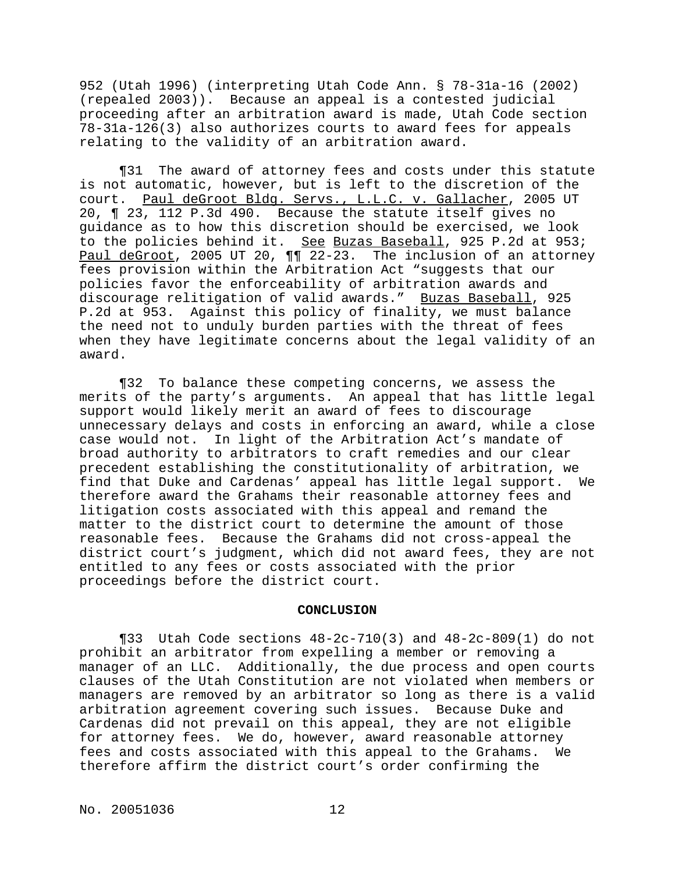952 (Utah 1996) (interpreting Utah Code Ann. § 78-31a-16 (2002) (repealed 2003)). Because an appeal is a contested judicial proceeding after an arbitration award is made, Utah Code section 78-31a-126(3) also authorizes courts to award fees for appeals relating to the validity of an arbitration award.

¶31 The award of attorney fees and costs under this statute is not automatic, however, but is left to the discretion of the court. Paul deGroot Bldg. Servs., L.L.C. v. Gallacher, 2005 UT 20, ¶ 23, 112 P.3d 490. Because the statute itself gives no guidance as to how this discretion should be exercised, we look to the policies behind it. See Buzas Baseball, 925 P.2d at 953; Paul deGroot, 2005 UT 20,  $\P$  $\overline{22-23}$ . The inclusion of an attorney fees provision within the Arbitration Act "suggests that our policies favor the enforceability of arbitration awards and discourage relitigation of valid awards." Buzas Baseball, 925 P.2d at 953. Against this policy of finality, we must balance the need not to unduly burden parties with the threat of fees when they have legitimate concerns about the legal validity of an award.

¶32 To balance these competing concerns, we assess the merits of the party's arguments. An appeal that has little legal support would likely merit an award of fees to discourage unnecessary delays and costs in enforcing an award, while a close case would not. In light of the Arbitration Act's mandate of broad authority to arbitrators to craft remedies and our clear precedent establishing the constitutionality of arbitration, we find that Duke and Cardenas' appeal has little legal support. We therefore award the Grahams their reasonable attorney fees and litigation costs associated with this appeal and remand the matter to the district court to determine the amount of those reasonable fees. Because the Grahams did not cross-appeal the district court's judgment, which did not award fees, they are not entitled to any fees or costs associated with the prior proceedings before the district court.

#### **CONCLUSION**

¶33 Utah Code sections 48-2c-710(3) and 48-2c-809(1) do not prohibit an arbitrator from expelling a member or removing a manager of an LLC. Additionally, the due process and open courts clauses of the Utah Constitution are not violated when members or managers are removed by an arbitrator so long as there is a valid arbitration agreement covering such issues. Because Duke and Cardenas did not prevail on this appeal, they are not eligible for attorney fees. We do, however, award reasonable attorney fees and costs associated with this appeal to the Grahams. We therefore affirm the district court's order confirming the